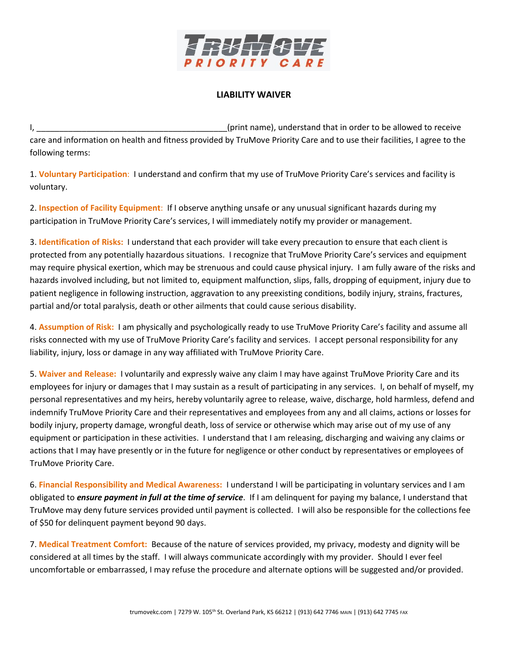

## **LIABILITY WAIVER**

I, the contract of the contract of the contract of the contract of the contract of the contract of the contract of the contract of the contract of the contract of the contract of the contract of the contract of the contrac care and information on health and fitness provided by TruMove Priority Care and to use their facilities, I agree to the following terms:

1. **Voluntary Participation**: I understand and confirm that my use of TruMove Priority Care's services and facility is voluntary.

2. **Inspection of Facility Equipment**: If I observe anything unsafe or any unusual significant hazards during my participation in TruMove Priority Care's services, I will immediately notify my provider or management.

3. **Identification of Risks:** I understand that each provider will take every precaution to ensure that each client is protected from any potentially hazardous situations. I recognize that TruMove Priority Care's services and equipment may require physical exertion, which may be strenuous and could cause physical injury. I am fully aware of the risks and hazards involved including, but not limited to, equipment malfunction, slips, falls, dropping of equipment, injury due to patient negligence in following instruction, aggravation to any preexisting conditions, bodily injury, strains, fractures, partial and/or total paralysis, death or other ailments that could cause serious disability.

4. **Assumption of Risk:** I am physically and psychologically ready to use TruMove Priority Care's facility and assume all risks connected with my use of TruMove Priority Care's facility and services. I accept personal responsibility for any liability, injury, loss or damage in any way affiliated with TruMove Priority Care.

5. **Waiver and Release:** I voluntarily and expressly waive any claim I may have against TruMove Priority Care and its employees for injury or damages that I may sustain as a result of participating in any services. I, on behalf of myself, my personal representatives and my heirs, hereby voluntarily agree to release, waive, discharge, hold harmless, defend and indemnify TruMove Priority Care and their representatives and employees from any and all claims, actions or losses for bodily injury, property damage, wrongful death, loss of service or otherwise which may arise out of my use of any equipment or participation in these activities. I understand that I am releasing, discharging and waiving any claims or actions that I may have presently or in the future for negligence or other conduct by representatives or employees of TruMove Priority Care.

6. **Financial Responsibility and Medical Awareness:** I understand I will be participating in voluntary services and I am obligated to *ensure payment in full at the time of service*. If I am delinquent for paying my balance, I understand that TruMove may deny future services provided until payment is collected. I will also be responsible for the collections fee of \$50 for delinquent payment beyond 90 days.

7. **Medical Treatment Comfort:** Because of the nature of services provided, my privacy, modesty and dignity will be considered at all times by the staff. I will always communicate accordingly with my provider. Should I ever feel uncomfortable or embarrassed, I may refuse the procedure and alternate options will be suggested and/or provided.